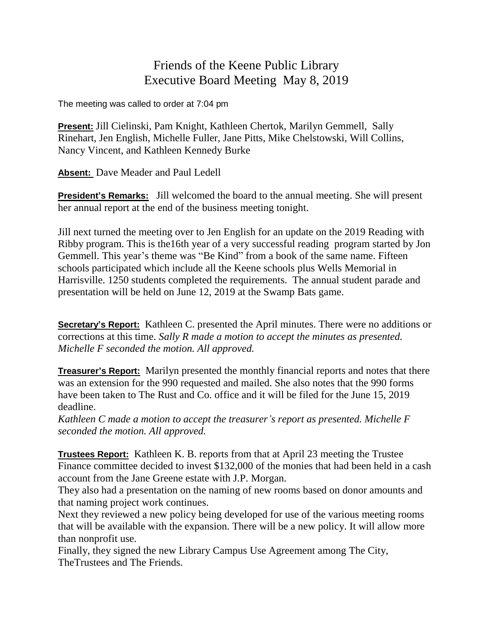## Friends of the Keene Public Library Executive Board Meeting May 8, 2019

The meeting was called to order at 7:04 pm

**Present:** Jill Cielinski, Pam Knight, Kathleen Chertok, Marilyn Gemmell, Sally Rinehart, Jen English, Michelle Fuller, Jane Pitts, Mike Chelstowski, Will Collins, Nancy Vincent, and Kathleen Kennedy Burke

**Absent:** Dave Meader and Paul Ledell

**President's Remarks:** Jill welcomed the board to the annual meeting. She will present her annual report at the end of the business meeting tonight.

Jill next turned the meeting over to Jen English for an update on the 2019 Reading with Ribby program. This is the16th year of a very successful reading program started by Jon Gemmell. This year's theme was "Be Kind" from a book of the same name. Fifteen schools participated which include all the Keene schools plus Wells Memorial in Harrisville. 1250 students completed the requirements. The annual student parade and presentation will be held on June 12, 2019 at the Swamp Bats game.

**Secretary's Report:** Kathleen C. presented the April minutes. There were no additions or corrections at this time. *Sally R made a motion to accept the minutes as presented. Michelle F seconded the motion. All approved.*

**Treasurer's Report:** Marilyn presented the monthly financial reports and notes that there was an extension for the 990 requested and mailed. She also notes that the 990 forms have been taken to The Rust and Co. office and it will be filed for the June 15, 2019 deadline.

*Kathleen C made a motion to accept the treasurer's report as presented. Michelle F seconded the motion. All approved.*

**Trustees Report:** Kathleen K. B. reports from that at April 23 meeting the Trustee Finance committee decided to invest \$132,000 of the monies that had been held in a cash account from the Jane Greene estate with J.P. Morgan.

They also had a presentation on the naming of new rooms based on donor amounts and that naming project work continues.

Next they reviewed a new policy being developed for use of the various meeting rooms that will be available with the expansion. There will be a new policy. It will allow more than nonprofit use.

Finally, they signed the new Library Campus Use Agreement among The City, TheTrustees and The Friends.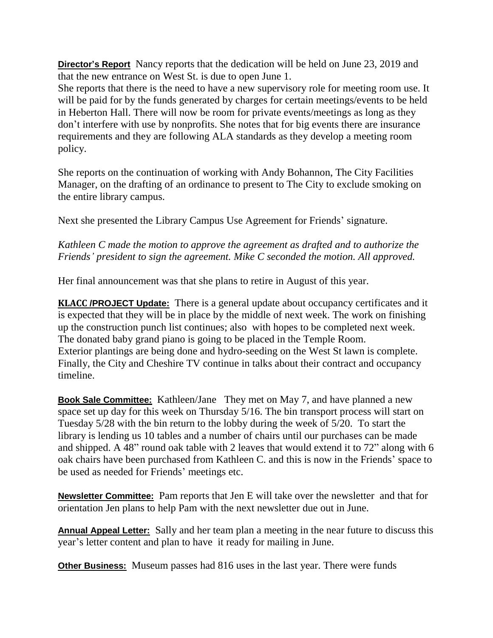**Director's Report** Nancy reports that the dedication will be held on June 23, 2019 and that the new entrance on West St. is due to open June 1.

She reports that there is the need to have a new supervisory role for meeting room use. It will be paid for by the funds generated by charges for certain meetings/events to be held in Heberton Hall. There will now be room for private events/meetings as long as they don't interfere with use by nonprofits. She notes that for big events there are insurance requirements and they are following ALA standards as they develop a meeting room policy.

She reports on the continuation of working with Andy Bohannon, The City Facilities Manager, on the drafting of an ordinance to present to The City to exclude smoking on the entire library campus.

Next she presented the Library Campus Use Agreement for Friends' signature.

## *Kathleen C made the motion to approve the agreement as drafted and to authorize the Friends' president to sign the agreement. Mike C seconded the motion. All approved.*

Her final announcement was that she plans to retire in August of this year.

**KLACC /PROJECT Update:** There is a general update about occupancy certificates and it is expected that they will be in place by the middle of next week. The work on finishing up the construction punch list continues; also with hopes to be completed next week. The donated baby grand piano is going to be placed in the Temple Room. Exterior plantings are being done and hydro-seeding on the West St lawn is complete. Finally, the City and Cheshire TV continue in talks about their contract and occupancy timeline.

**Book Sale Committee:** Kathleen/Jane They met on May 7, and have planned a new space set up day for this week on Thursday 5/16. The bin transport process will start on Tuesday 5/28 with the bin return to the lobby during the week of 5/20. To start the library is lending us 10 tables and a number of chairs until our purchases can be made and shipped. A 48" round oak table with 2 leaves that would extend it to 72" along with 6 oak chairs have been purchased from Kathleen C. and this is now in the Friends' space to be used as needed for Friends' meetings etc.

**Newsletter Committee:** Pam reports that Jen E will take over the newsletter and that for orientation Jen plans to help Pam with the next newsletter due out in June.

**Annual Appeal Letter:** Sally and her team plan a meeting in the near future to discuss this year's letter content and plan to have it ready for mailing in June.

**Other Business:** Museum passes had 816 uses in the last year. There were funds